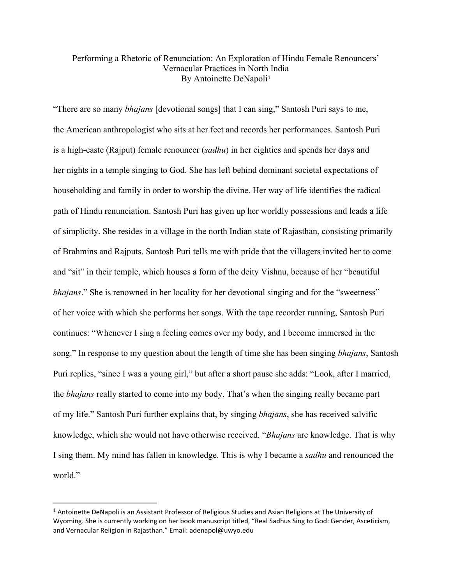## Performing a Rhetoric of Renunciation: An Exploration of Hindu Female Renouncers' Vernacular Practices in North India By Antoinette DeNapoli 1

"There are so many *bhajans* [devotional songs] that I can sing," Santosh Puri says to me, the American anthropologist who sits at her feet and records her performances. Santosh Puri is a high-caste (Rajput) female renouncer (*sadhu*) in her eighties and spends her days and her nights in a temple singing to God. She has left behind dominant societal expectations of householding and family in order to worship the divine. Her way of life identifies the radical path of Hindu renunciation. Santosh Puri has given up her worldly possessions and leads a life of simplicity. She resides in a village in the north Indian state of Rajasthan, consisting primarily of Brahmins and Rajputs. Santosh Puri tells me with pride that the villagers invited her to come and "sit" in their temple, which houses a form of the deity Vishnu, because of her "beautiful *bhajans*." She is renowned in her locality for her devotional singing and for the "sweetness" of her voice with which she performs her songs. With the tape recorder running, Santosh Puri continues: "Whenever I sing a feeling comes over my body, and I become immersed in the song." In response to my question about the length of time she has been singing *bhajans*, Santosh Puri replies, "since I was a young girl," but after a short pause she adds: "Look, after I married, the *bhajans* really started to come into my body. That's when the singing really became part of my life." Santosh Puri further explains that, by singing *bhajans*, she has received salvific knowledge, which she would not have otherwise received. "*Bhajans* are knowledge. That is why I sing them. My mind has fallen in knowledge. This is why I became a *sadhu* and renounced the world."

<sup>1</sup> Antoinette DeNapoli is an Assistant Professor of Religious Studies and Asian Religions at The University of Wyoming. She is currently working on her book manuscript titled, "Real Sadhus Sing to God: Gender, Asceticism, and Vernacular Religion in Rajasthan." Email: adenapol@uwyo.edu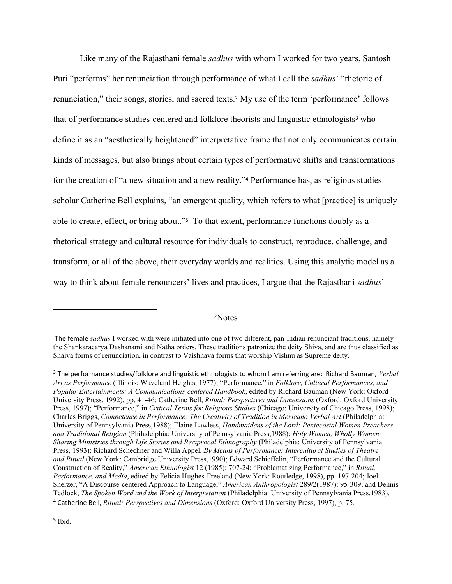Like many of the Rajasthani female *sadhus* with whom I worked for two years, Santosh Puri "performs" her renunciation through performance of what I call the *sadhus*' "rhetoric of renunciation," their songs, stories, and sacred texts. <sup>2</sup> My use of the term 'performance' follows that of performance studies-centered and folklore theorists and linguistic ethnologists <sup>3</sup> who define it as an "aesthetically heightened" interpretative frame that not only communicates certain kinds of messages, but also brings about certain types of performative shifts and transformations for the creation of "a new situation and a new reality." <sup>4</sup> Performance has, as religious studies scholar Catherine Bell explains, "an emergent quality, which refers to what [practice] is uniquely able to create, effect, or bring about." <sup>5</sup> To that extent, performance functions doubly as a rhetorical strategy and cultural resource for individuals to construct, reproduce, challenge, and transform, or all of the above, their everyday worlds and realities. Using this analytic model as a way to think about female renouncers' lives and practices, I argue that the Rajasthani *sadhus*'

## <sup>2</sup>Notes

The female *sadhus* I worked with were initiated into one of two different, pan-Indian renunciant traditions, namely the Shankaracarya Dashanami and Natha orders. These traditions patronize the deity Shiva, and are thus classified as Shaiva forms of renunciation, in contrast to Vaishnava forms that worship Vishnu as Supreme deity.

<sup>3</sup> The performance studies/folklore and linguistic ethnologists to whom I am referring are: Richard Bauman, *Verbal Art as Performance* (Illinois: Waveland Heights, 1977); "Performance," in *Folklore, Cultural Performances, and Popular Entertainments: A Communications-centered Handbook*, edited by Richard Bauman (New York: Oxford University Press, 1992), pp. 41-46; Catherine Bell, *Ritual: Perspectives and Dimensions* (Oxford: Oxford University Press, 1997); "Performance," in *Critical Terms for Religious Studies* (Chicago: University of Chicago Press, 1998); Charles Briggs, *Competence in Performance: The Creativity of Tradition in Mexicano Verbal Art* (Philadelphia: University of Pennsylvania Press,1988); Elaine Lawless, *Handmaidens of the Lord: Pentecostal Women Preachers and Traditional Religion* (Philadelphia: University of Pennsylvania Press,1988); *Holy Women, Wholly Women: Sharing Ministries through Life Stories and Reciprocal Ethnography* (Philadelphia: University of Pennsylvania Press, 1993); Richard Schechner and Willa Appel, *By Means of Performance: Intercultural Studies of Theatre and Ritual* (New York: Cambridge University Press,1990); Edward Schieffelin, "Performance and the Cultural Construction of Reality," *American Ethnologist* 12 (1985): 707-24; "Problematizing Performance," in *Ritual, Performance, and Media*, edited by Felicia Hughes-Freeland (New York: Routledge, 1998), pp. 197-204; Joel Sherzer, "A Discourse-centered Approach to Language," *American Anthropologist* 289/2(1987): 95-309; and Dennis Tedlock, *The Spoken Word and the Work of Interpretation* (Philadelphia: University of Pennsylvania Press,1983). <sup>4</sup> Catherine Bell, *Ritual: Perspectives and Dimensions* (Oxford: Oxford University Press, 1997), p. 75.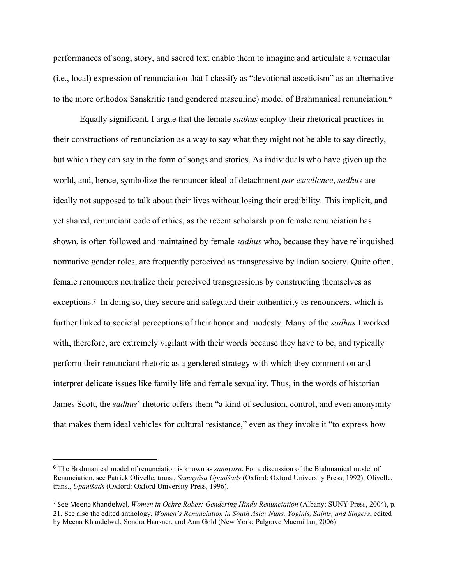performances of song, story, and sacred text enable them to imagine and articulate a vernacular (i.e., local) expression of renunciation that I classify as "devotional asceticism" as an alternative to the more orthodox Sanskritic (and gendered masculine) model of Brahmanical renunciation. 6

Equally significant, I argue that the female *sadhus* employ their rhetorical practices in their constructions of renunciation as a way to say what they might not be able to say directly, but which they can say in the form of songs and stories. As individuals who have given up the world, and, hence, symbolize the renouncer ideal of detachment *par excellence*, *sadhus* are ideally not supposed to talk about their lives without losing their credibility. This implicit, and yet shared, renunciant code of ethics, as the recent scholarship on female renunciation has shown, is often followed and maintained by female *sadhus* who, because they have relinquished normative gender roles, are frequently perceived as transgressive by Indian society. Quite often, female renouncers neutralize their perceived transgressions by constructing themselves as exceptions.<sup>7</sup> In doing so, they secure and safeguard their authenticity as renouncers, which is further linked to societal perceptions of their honor and modesty. Many of the *sadhus* I worked with, therefore, are extremely vigilant with their words because they have to be, and typically perform their renunciant rhetoric as a gendered strategy with which they comment on and interpret delicate issues like family life and female sexuality. Thus, in the words of historian James Scott, the *sadhus*' rhetoric offers them "a kind of seclusion, control, and even anonymity that makes them ideal vehicles for cultural resistance," even as they invoke it "to express how

<sup>6</sup> The Brahmanical model of renunciation is known as *sannyasa*. For a discussion of the Brahmanical model of Renunciation, see Patrick Olivelle, trans., *Samnyâsa Upanišads* (Oxford: Oxford University Press, 1992); Olivelle, trans., *Upanišads* (Oxford: Oxford University Press, 1996).

<sup>7</sup> See Meena Khandelwal, *Women in Ochre Robes: Gendering Hindu Renunciation* (Albany: SUNY Press, 2004), p. 21. See also the edited anthology, *Women's Renunciation in South Asia: Nuns, Yoginis, Saints, and Singers*, edited by Meena Khandelwal, Sondra Hausner, and Ann Gold (New York: Palgrave Macmillan, 2006).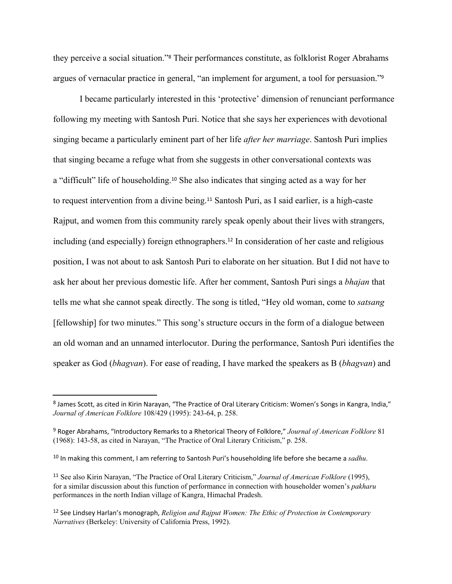they perceive a social situation." <sup>8</sup> Their performances constitute, as folklorist Roger Abrahams argues of vernacular practice in general, "an implement for argument, a tool for persuasion." 9

I became particularly interested in this 'protective' dimension of renunciant performance following my meeting with Santosh Puri. Notice that she says her experiences with devotional singing became a particularly eminent part of her life *after her marriage*. Santosh Puri implies that singing became a refuge what from she suggests in other conversational contexts was a "difficult" life of householding. <sup>10</sup> She also indicates that singing acted as a way for her to request intervention from a divine being. <sup>11</sup> Santosh Puri, as I said earlier, is a high-caste Rajput, and women from this community rarely speak openly about their lives with strangers, including (and especially) foreign ethnographers. 12 In consideration of her caste and religious position, I was not about to ask Santosh Puri to elaborate on her situation. But I did not have to ask her about her previous domestic life. After her comment, Santosh Puri sings a *bhajan* that tells me what she cannot speak directly. The song is titled, "Hey old woman, come to *satsang* [fellowship] for two minutes." This song's structure occurs in the form of a dialogue between an old woman and an unnamed interlocutor. During the performance, Santosh Puri identifies the speaker as God (*bhagvan*). For ease of reading, I have marked the speakers as B (*bhagvan*) and

<sup>8</sup> James Scott, as cited in Kirin Narayan, "The Practice of Oral Literary Criticism: Women's Songs in Kangra, India," *Journal of American Folklore* 108/429 (1995): 243-64, p. 258.

<sup>9</sup> Roger Abrahams, "Introductory Remarks to a Rhetorical Theory of Folklore," *Journal of American Folklore* 81 (1968): 143-58, as cited in Narayan, "The Practice of Oral Literary Criticism," p. 258.

<sup>10</sup> In making this comment, I am referring to Santosh Puri's householding life before she became a *sadhu*.

<sup>11</sup> See also Kirin Narayan, "The Practice of Oral Literary Criticism," *Journal of American Folklore* (1995), for a similar discussion about this function of performance in connection with householder women's *pakharu* performances in the north Indian village of Kangra, Himachal Pradesh.

<sup>12</sup> See Lindsey Harlan's monograph, *Religion and Rajput Women: The Ethic of Protection in Contemporary Narratives* (Berkeley: University of California Press, 1992).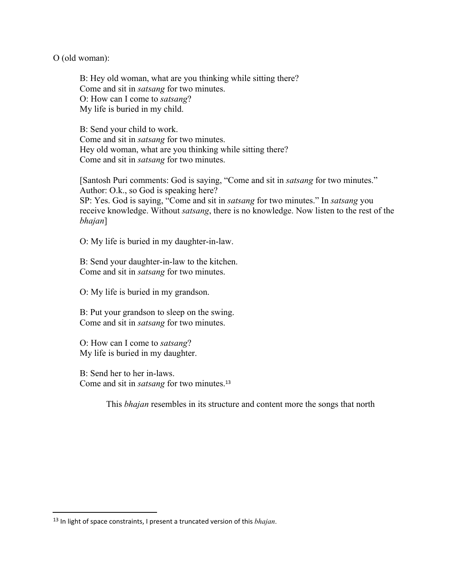O (old woman):

B: Hey old woman, what are you thinking while sitting there? Come and sit in *satsang* for two minutes. O: How can I come to *satsang*? My life is buried in my child.

B: Send your child to work. Come and sit in *satsang* for two minutes. Hey old woman, what are you thinking while sitting there? Come and sit in *satsang* for two minutes.

[Santosh Puri comments: God is saying, "Come and sit in *satsang* for two minutes." Author: O.k., so God is speaking here? SP: Yes. God is saying, "Come and sit in *satsang* for two minutes." In *satsang* you receive knowledge. Without *satsang*, there is no knowledge. Now listen to the rest of the *bhajan*]

O: My life is buried in my daughter-in-law.

B: Send your daughter-in-law to the kitchen. Come and sit in *satsang* for two minutes.

O: My life is buried in my grandson.

B: Put your grandson to sleep on the swing. Come and sit in *satsang* for two minutes.

O: How can I come to *satsang*? My life is buried in my daughter.

B: Send her to her in-laws. Come and sit in *satsang* for two minutes. 13

This *bhajan* resembles in its structure and content more the songs that north

<sup>13</sup> In light of space constraints, I present a truncated version of this *bhajan*.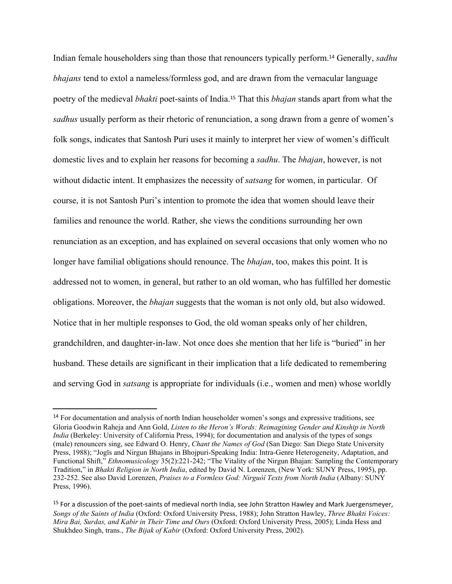Indian female householders sing than those that renouncers typically perform. <sup>14</sup> Generally, *sadhu bhajans* tend to extol a nameless/formless god, and are drawn from the vernacular language poetry of the medieval *bhakti* poet-saints of India. <sup>15</sup> That this *bhajan* stands apart from what the *sadhus* usually perform as their rhetoric of renunciation, a song drawn from a genre of women's folk songs, indicates that Santosh Puri uses it mainly to interpret her view of women's difficult domestic lives and to explain her reasons for becoming a *sadhu*. The *bhajan*, however, is not without didactic intent. It emphasizes the necessity of *satsang* for women, in particular. Of course, it is not Santosh Puri's intention to promote the idea that women should leave their families and renounce the world. Rather, she views the conditions surrounding her own renunciation as an exception, and has explained on several occasions that only women who no longer have familial obligations should renounce. The *bhajan*, too, makes this point. It is addressed not to women, in general, but rather to an old woman, who has fulfilled her domestic obligations. Moreover, the *bhajan* suggests that the woman is not only old, but also widowed. Notice that in her multiple responses to God, the old woman speaks only of her children, grandchildren, and daughter-in-law. Not once does she mention that her life is "buried" in her husband. These details are significant in their implication that a life dedicated to remembering and serving God in *satsang* is appropriate for individuals (i.e., women and men) whose worldly

<sup>&</sup>lt;sup>14</sup> For documentation and analysis of north Indian householder women's songs and expressive traditions, see Gloria Goodwin Raheja and Ann Gold, *Listen to the Heron's Words: Reimagining Gender and Kinship in North India* (Berkeley: University of California Press, 1994); for documentation and analysis of the types of songs (male) renouncers sing, see Edward O. Henry, *Chant the Names of God* (San Diego: San Diego State University Press, 1988); "Jogīs and Nirgun Bhajans in Bhojpuri-Speaking India: Intra-Genre Heterogeneity, Adaptation, and Functional Shift," *Ethnomusicology* 35(2):221-242; "The Vitality of the Nirgun Bhajan: Sampling the Contemporary Tradition," in *Bhakti Religion in North India*, edited by David N. Lorenzen, (New York: SUNY Press, 1995), pp. 232-252. See also David Lorenzen, *Praises to a Formless God: Nirguòî Texts from North India* (Albany: SUNY Press, 1996).

<sup>&</sup>lt;sup>15</sup> For a discussion of the poet-saints of medieval north India, see John Stratton Hawley and Mark Juergensmeyer, *Songs of the Saints of India* (Oxford: Oxford University Press, 1988); John Stratton Hawley, *Three Bhakti Voices: Mira Bai, Surdas, and Kabir in Their Time and Ours* (Oxford: Oxford University Press, 2005); Linda Hess and Shukhdeo Singh, trans., *The Bijak of Kabir* (Oxford: Oxford University Press, 2002).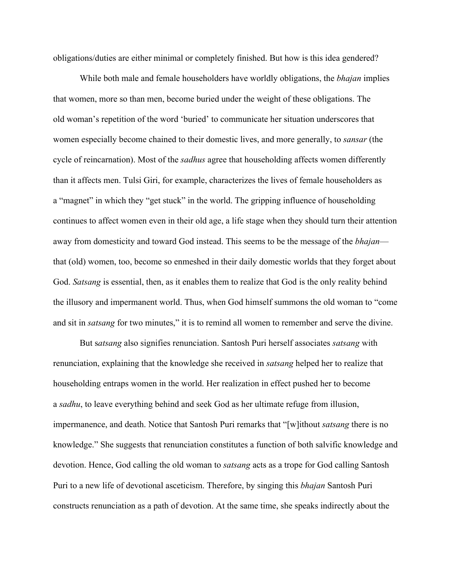obligations/duties are either minimal or completely finished. But how is this idea gendered?

While both male and female householders have worldly obligations, the *bhajan* implies that women, more so than men, become buried under the weight of these obligations. The old woman's repetition of the word 'buried' to communicate her situation underscores that women especially become chained to their domestic lives, and more generally, to *sansar* (the cycle of reincarnation). Most of the *sadhus* agree that householding affects women differently than it affects men. Tulsi Giri, for example, characterizes the lives of female householders as a "magnet" in which they "get stuck" in the world. The gripping influence of householding continues to affect women even in their old age, a life stage when they should turn their attention away from domesticity and toward God instead. This seems to be the message of the *bhajan* that (old) women, too, become so enmeshed in their daily domestic worlds that they forget about God. *Satsang* is essential, then, as it enables them to realize that God is the only reality behind the illusory and impermanent world. Thus, when God himself summons the old woman to "come and sit in *satsang* for two minutes," it is to remind all women to remember and serve the divine.

But s*atsang* also signifies renunciation. Santosh Puri herself associates *satsang* with renunciation, explaining that the knowledge she received in *satsang* helped her to realize that householding entraps women in the world. Her realization in effect pushed her to become a *sadhu*, to leave everything behind and seek God as her ultimate refuge from illusion, impermanence, and death. Notice that Santosh Puri remarks that "[w]ithout *satsang* there is no knowledge." She suggests that renunciation constitutes a function of both salvific knowledge and devotion. Hence, God calling the old woman to *satsang* acts as a trope for God calling Santosh Puri to a new life of devotional asceticism. Therefore, by singing this *bhajan* Santosh Puri constructs renunciation as a path of devotion. At the same time, she speaks indirectly about the